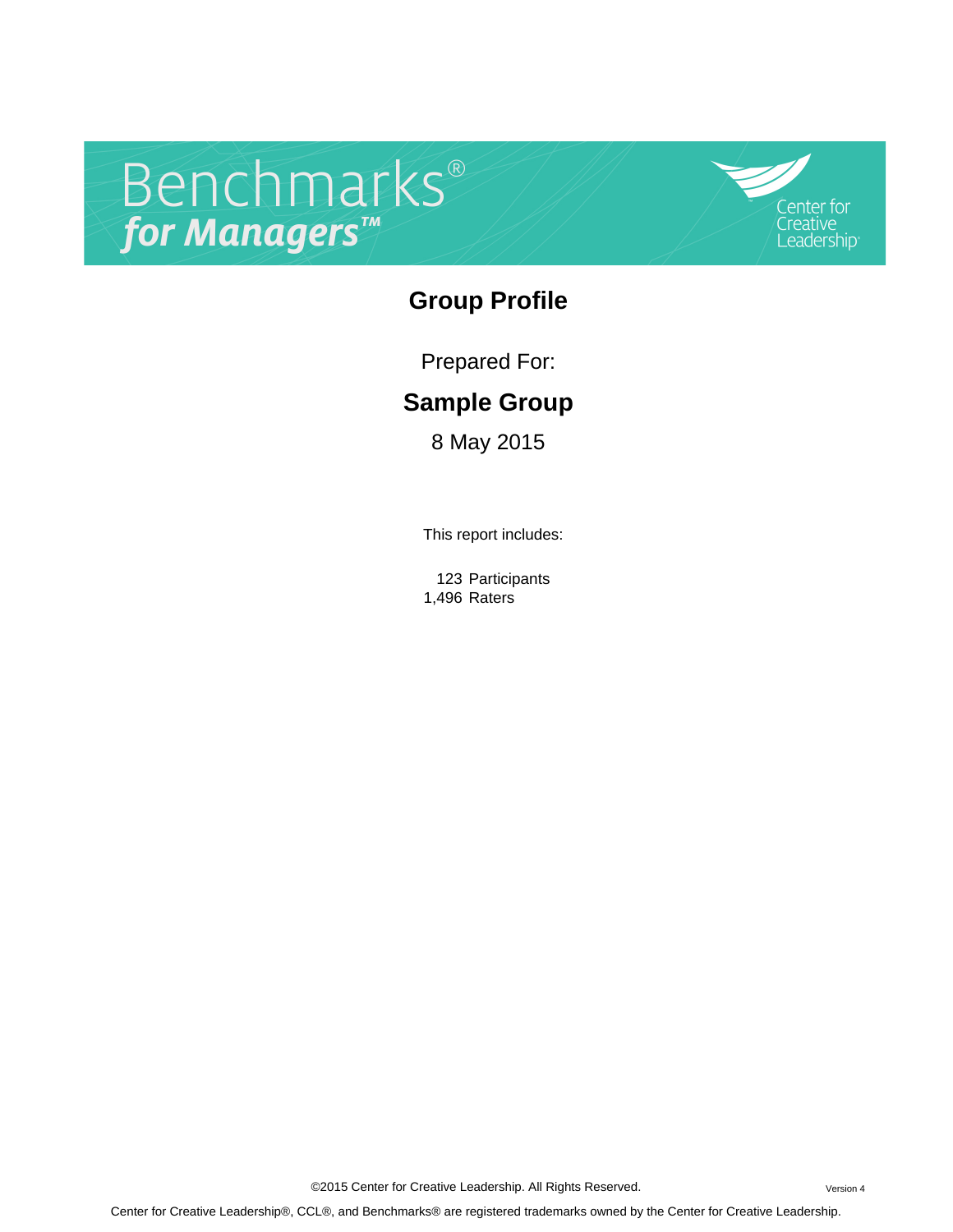# Benchmarks®

Center for Creative Leadership

## **Group Profile**

Prepared For:

# **Sample Group**

8 May 2015

This report includes:

123 Participants 1,496 Raters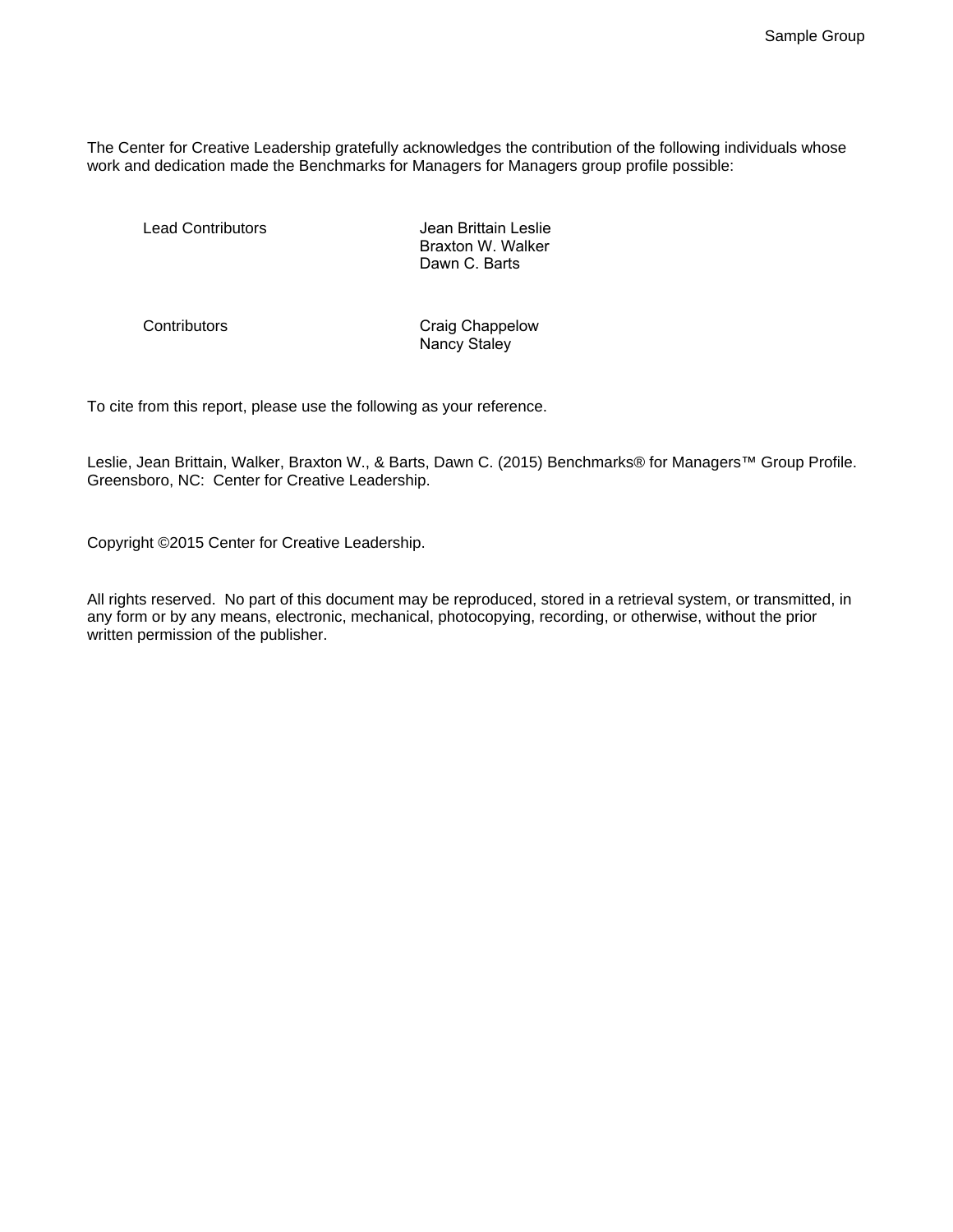The Center for Creative Leadership gratefully acknowledges the contribution of the following individuals whose work and dedication made the Benchmarks for Managers for Managers group profile possible:

Lead Contributors - The Contributors -HOQ ULCOLOUGH Jean Brittain Leslie Braxton W. Walker Dawn C. Barts

Contributors **Contributors** Craig Chappelow Nancy Staley

To cite from this report, please use the following as your reference.

Leslie, Jean Brittain, Walker, Braxton W., & Barts, Dawn C. (2015) Benchmarks® for Managers™ Group Profile. Greensboro, NC: Center for Creative Leadership.

Copyright ©2015 Center for Creative Leadership.

All rights reserved. No part of this document may be reproduced, stored in a retrieval system, or transmitted, in any form or by any means, electronic, mechanical, photocopying, recording, or otherwise, without the prior written permission of the publisher.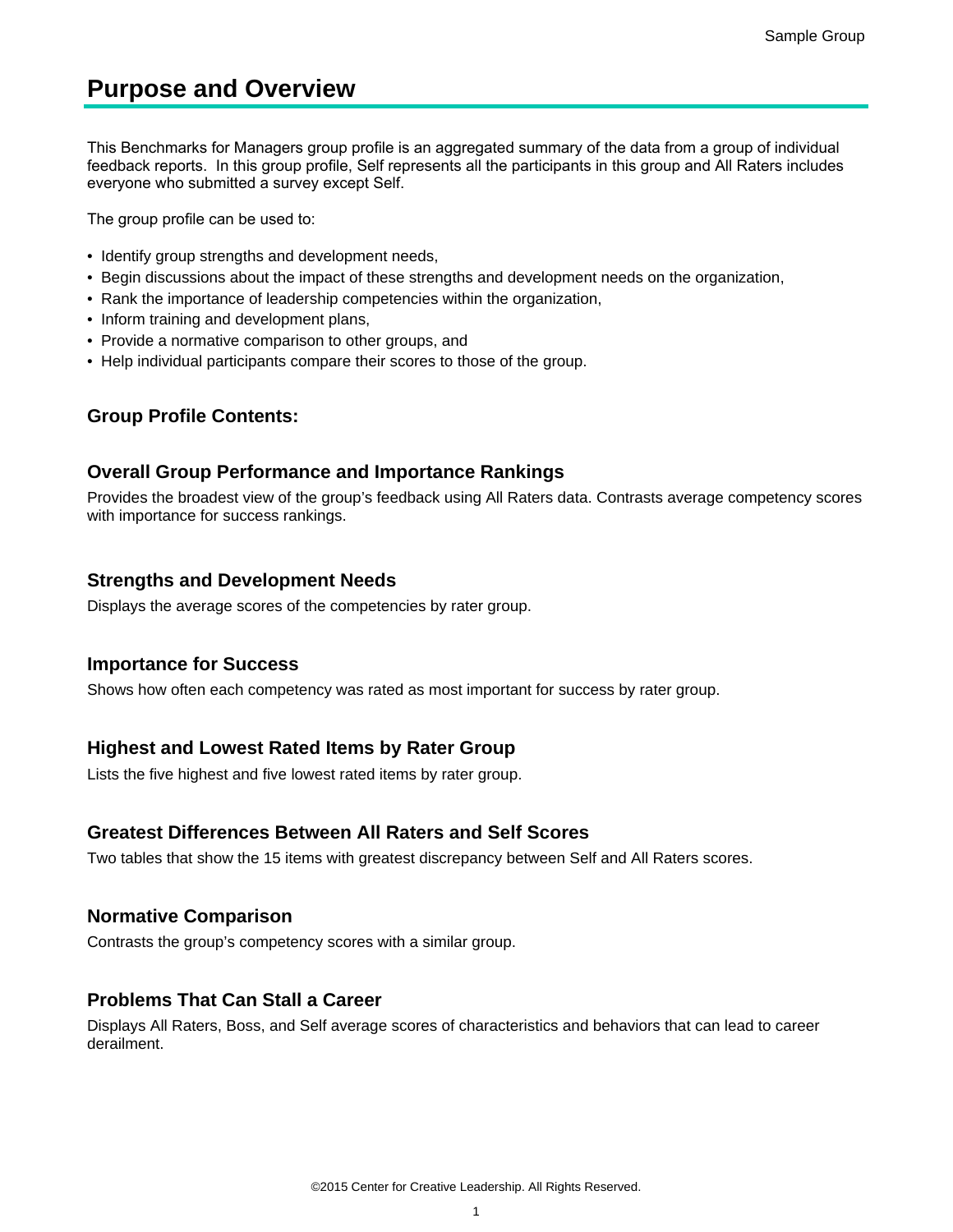## **Purpose and Overview**

This Benchmarks for Managers group profile is an aggregated summary of the data from a group of individual feedback reports. In this group profile, Self represents all the participants in this group and All Raters includes everyone who submitted a survey except Self.

The group profile can be used to:

- Identify group strengths and development needs,
- Begin discussions about the impact of these strengths and development needs on the organization,
- Rank the importance of leadership competencies within the organization,
- Inform training and development plans,
- Provide a normative comparison to other groups, and
- Help individual participants compare their scores to those of the group.

## **Group Profile Contents:**

#### **Overall Group Performance and Importance Rankings**

Provides the broadest view of the group's feedback using All Raters data. Contrasts average competency scores with importance for success rankings.

#### **Strengths and Development Needs**

Displays the average scores of the competencies by rater group.

#### **Importance for Success**

Shows how often each competency was rated as most important for success by rater group.

#### **Highest and Lowest Rated Items by Rater Group**

Lists the five highest and five lowest rated items by rater group.

#### **Greatest Differences Between All Raters and Self Scores**

Two tables that show the 15 items with greatest discrepancy between Self and All Raters scores.

#### **Normative Comparison**

Contrasts the group's competency scores with a similar group.

## **Problems That Can Stall a Career**

Displays All Raters, Boss, and Self average scores of characteristics and behaviors that can lead to career derailment.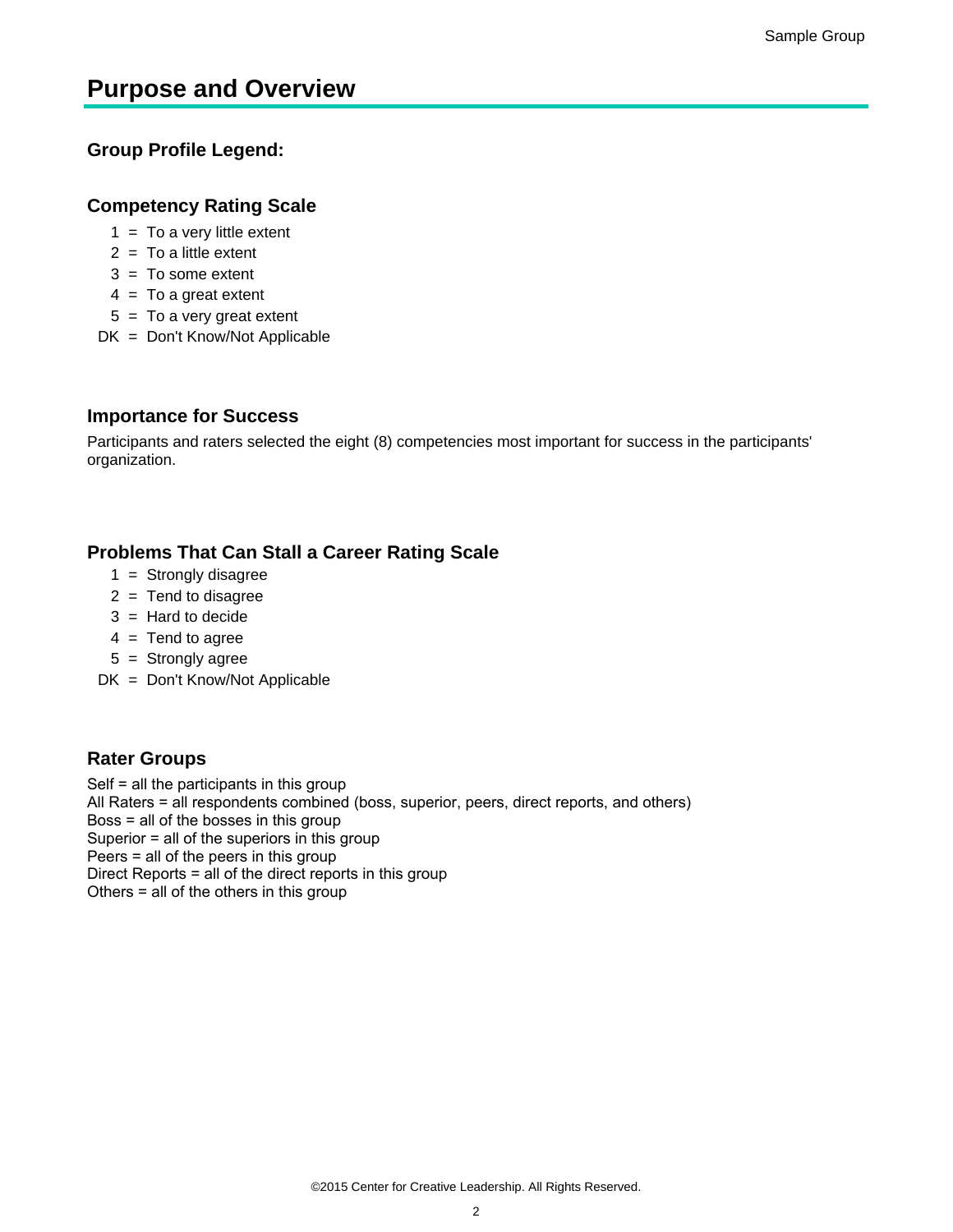## **Purpose and Overview**

## **Group Profile Legend:**

## **Competency Rating Scale**

- $1 = To a$  very little extent
- $2 = To a little extent$
- $3 = To$  some extent
- $4 = To a great extent$
- $5 = To a very great extent$
- DK = Don't Know/Not Applicable

## **Importance for Success**

Participants and raters selected the eight (8) competencies most important for success in the participants' organization.

## **Problems That Can Stall a Career Rating Scale**

- $1 =$  Strongly disagree
- $2 =$ Tend to disagree
- $3 =$  Hard to decide
- $4 =$ Tend to agree
- 5 = Strongly agree
- DK = Don't Know/Not Applicable

## **Rater Groups**

Self  $=$  all the participants in this group All Raters = all respondents combined (boss, superior, peers, direct reports, and others) Boss  $=$  all of the bosses in this group Superior  $=$  all of the superiors in this group Peers  $=$  all of the peers in this group Direct Reports  $=$  all of the direct reports in this group Others  $=$  all of the others in this group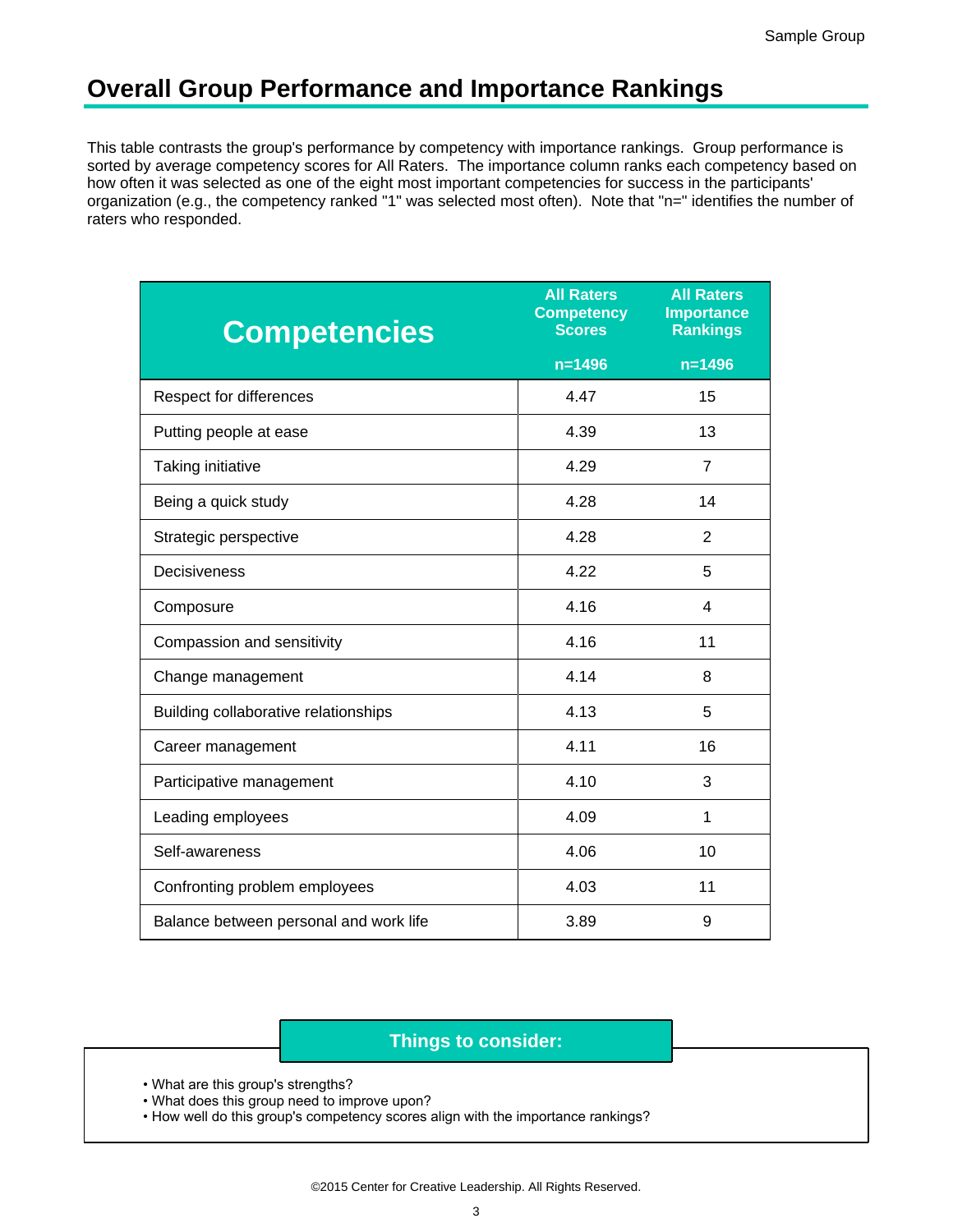## **Overall Group Performance and Importance Rankings**

This table contrasts the group's performance by competency with importance rankings. Group performance is sorted by average competency scores for All Raters. The importance column ranks each competency based on how often it was selected as one of the eight most important competencies for success in the participants' organization (e.g., the competency ranked "1" was selected most often). Note that "n=" identifies the number of raters who responded.

| <b>Competencies</b>                    | <b>All Raters</b><br><b>Competency</b><br><b>Scores</b> | <b>All Raters</b><br><b>Importance</b><br><b>Rankings</b> |
|----------------------------------------|---------------------------------------------------------|-----------------------------------------------------------|
|                                        | $n = 1496$                                              | $n = 1496$                                                |
| Respect for differences                | 4.47                                                    | 15                                                        |
| Putting people at ease                 | 4.39                                                    | 13                                                        |
| Taking initiative                      | 4.29                                                    | $\overline{7}$                                            |
| Being a quick study                    | 4.28                                                    | 14                                                        |
| Strategic perspective                  | 4.28                                                    | $\overline{2}$                                            |
| Decisiveness                           | 4.22                                                    | 5                                                         |
| Composure                              | 4.16                                                    | 4                                                         |
| Compassion and sensitivity             | 4.16                                                    | 11                                                        |
| Change management                      | 4.14                                                    | 8                                                         |
| Building collaborative relationships   | 4.13                                                    | 5                                                         |
| Career management                      | 4.11                                                    | 16                                                        |
| Participative management               | 4.10                                                    | 3                                                         |
| Leading employees                      | 4.09                                                    | 1                                                         |
| Self-awareness                         | 4.06                                                    | 10                                                        |
| Confronting problem employees          | 4.03                                                    | 11                                                        |
| Balance between personal and work life | 3.89                                                    | 9                                                         |

## **Things to consider:**

- What are this group's strengths?
- . What does this group need to improve upon?
- How well do this group's competency scores align with the importance rankings?

©2015 Center for Creative Leadership. All Rights Reserved.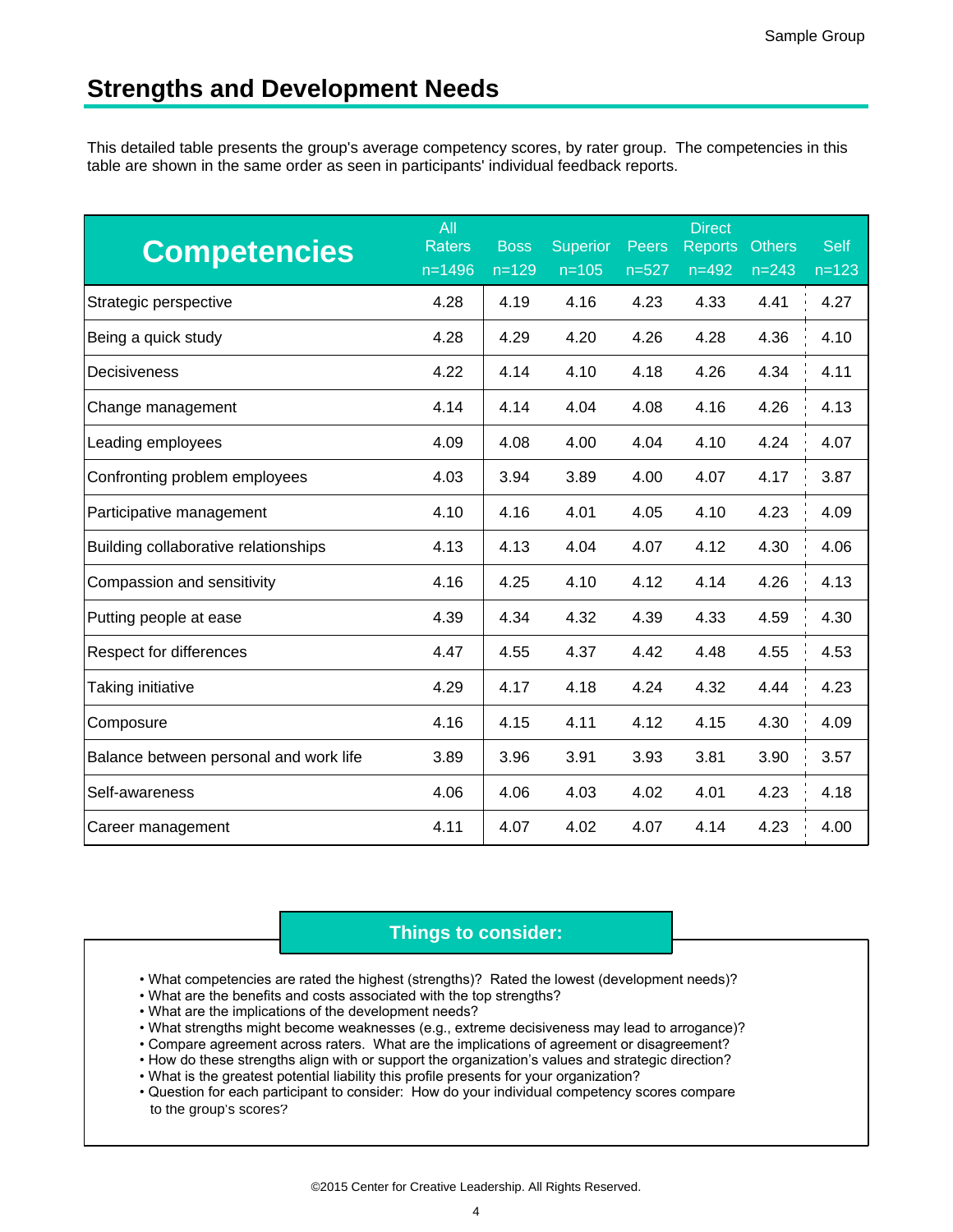This detailed table presents the group's average competency scores, by rater group. The competencies in this table are shown in the same order as seen in participants' individual feedback reports.

| <b>Competencies</b>                    | All<br><b>Raters</b><br>$n = 1496$ | <b>Boss</b><br>$n = 129$ | <b>Superior</b><br>$n = 105$ | <b>Peers</b><br>$n = 527$ | <b>Direct</b><br><b>Reports</b><br>$n = 492$ | <b>Others</b><br>$n = 243$ | <b>Self</b><br>$n = 123$ |
|----------------------------------------|------------------------------------|--------------------------|------------------------------|---------------------------|----------------------------------------------|----------------------------|--------------------------|
| Strategic perspective                  | 4.28                               | 4.19                     | 4.16                         | 4.23                      | 4.33                                         | 4.41                       | 4.27                     |
| Being a quick study                    | 4.28                               | 4.29                     | 4.20                         | 4.26                      | 4.28                                         | 4.36                       | 4.10                     |
| Decisiveness                           | 4.22                               | 4.14                     | 4.10                         | 4.18                      | 4.26                                         | 4.34                       | 4.11                     |
| Change management                      | 4.14                               | 4.14                     | 4.04                         | 4.08                      | 4.16                                         | 4.26                       | 4.13                     |
| Leading employees                      | 4.09                               | 4.08                     | 4.00                         | 4.04                      | 4.10                                         | 4.24                       | 4.07                     |
| Confronting problem employees          | 4.03                               | 3.94                     | 3.89                         | 4.00                      | 4.07                                         | 4.17                       | 3.87                     |
| Participative management               | 4.10                               | 4.16                     | 4.01                         | 4.05                      | 4.10                                         | 4.23                       | 4.09                     |
| Building collaborative relationships   | 4.13                               | 4.13                     | 4.04                         | 4.07                      | 4.12                                         | 4.30                       | 4.06                     |
| Compassion and sensitivity             | 4.16                               | 4.25                     | 4.10                         | 4.12                      | 4.14                                         | 4.26                       | 4.13                     |
| Putting people at ease                 | 4.39                               | 4.34                     | 4.32                         | 4.39                      | 4.33                                         | 4.59                       | 4.30                     |
| Respect for differences                | 4.47                               | 4.55                     | 4.37                         | 4.42                      | 4.48                                         | 4.55                       | 4.53                     |
| Taking initiative                      | 4.29                               | 4.17                     | 4.18                         | 4.24                      | 4.32                                         | 4.44                       | 4.23                     |
| Composure                              | 4.16                               | 4.15                     | 4.11                         | 4.12                      | 4.15                                         | 4.30                       | 4.09                     |
| Balance between personal and work life | 3.89                               | 3.96                     | 3.91                         | 3.93                      | 3.81                                         | 3.90                       | 3.57                     |
| Self-awareness                         | 4.06                               | 4.06                     | 4.03                         | 4.02                      | 4.01                                         | 4.23                       | 4.18                     |
| Career management                      | 4.11                               | 4.07                     | 4.02                         | 4.07                      | 4.14                                         | 4.23                       | 4.00                     |

- What competencies are rated the highest (strengths)? Rated the lowest (development needs)?
- . What are the benefits and costs associated with the top strengths?
- What are the implications of the development needs?
- . What strengths might become weaknesses (e.g., extreme decisiveness may lead to arrogance)?
- . Compare agreement across raters. What are the implications of agreement or disagreement?
- How do these strengths align with or support the organization's values and strategic direction?
- . What is the greatest potential liability this profile presents for your organization?
- to the group's scores? • Question for each participant to consider: How do your individual competency scores compare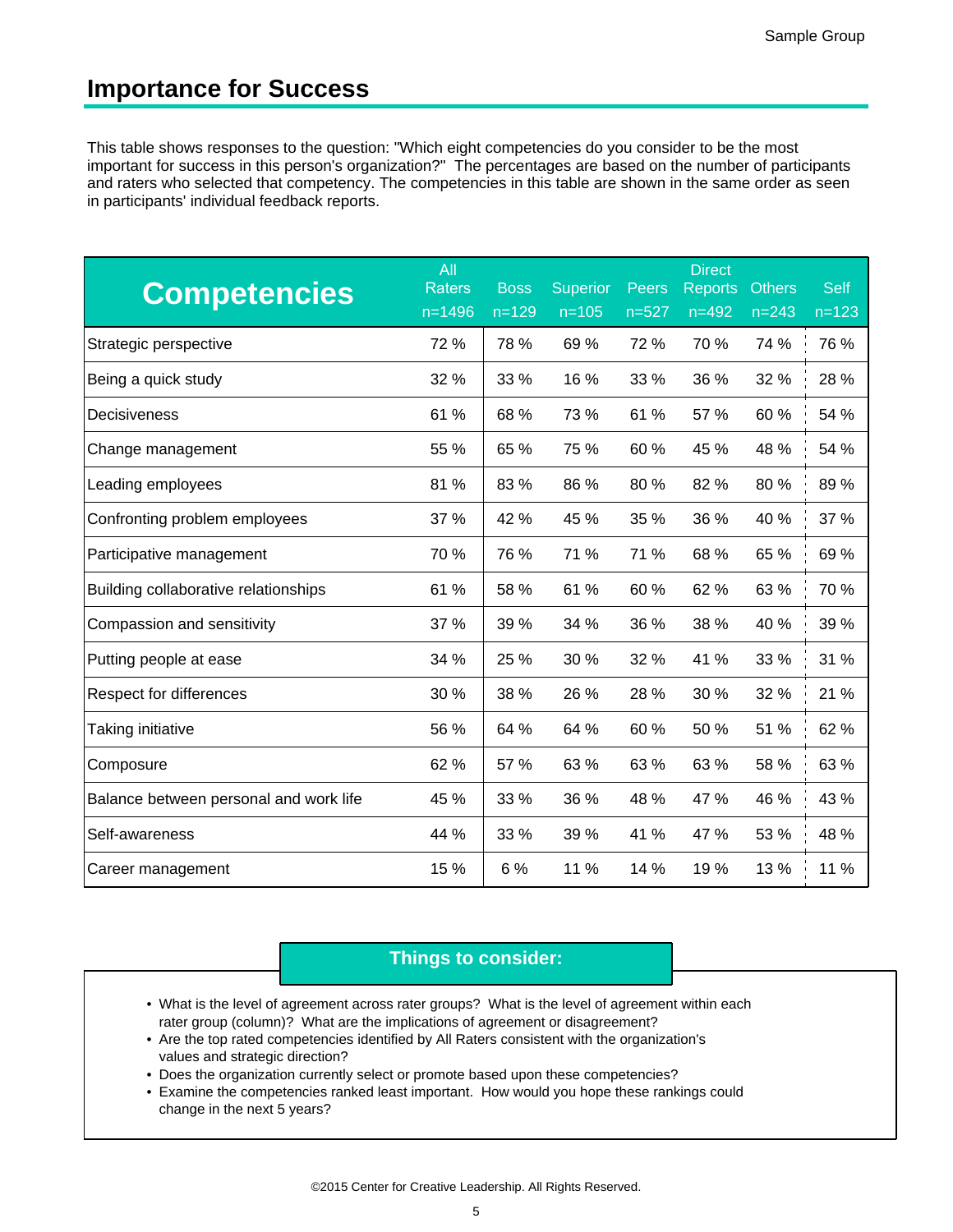## **Importance for Success**

This table shows responses to the question: "Which eight competencies do you consider to be the most important for success in this person's organization?" The percentages are based on the number of participants and raters who selected that competency. The competencies in this table are shown in the same order as seen in participants' individual feedback reports.

| <b>Competencies</b>                    | All<br><b>Raters</b><br>$n = 1496$ | <b>Boss</b><br>$n = 129$ | <b>Superior</b><br>$n = 105$ | <b>Peers</b><br>$n = 527$ | <b>Direct</b><br><b>Reports</b><br>$n = 492$ | <b>Others</b><br>$n = 243$ | <b>Self</b><br>$n = 123$ |
|----------------------------------------|------------------------------------|--------------------------|------------------------------|---------------------------|----------------------------------------------|----------------------------|--------------------------|
| Strategic perspective                  | 72 %                               | 78 %                     | 69%                          | 72 %                      | 70 %                                         | 74 %                       | 76 %                     |
| Being a quick study                    | 32 %                               | 33 %                     | 16 %                         | 33 %                      | 36 %                                         | 32 %                       | 28 %                     |
| Decisiveness                           | 61 %                               | 68 %                     | 73 %                         | 61 %                      | 57 %                                         | 60 %                       | 54 %                     |
| Change management                      | 55 %                               | 65 %                     | 75 %                         | 60 %                      | 45 %                                         | 48 %                       | 54 %                     |
| Leading employees                      | 81 %                               | 83 %                     | 86 %                         | 80 %                      | 82 %                                         | 80 %                       | 89 %                     |
| Confronting problem employees          | 37 %                               | 42 %                     | 45 %                         | 35 %                      | 36 %                                         | 40 %                       | 37 %                     |
| Participative management               | 70 %                               | 76 %                     | 71 %                         | 71 %                      | 68 %                                         | 65 %                       | 69 %                     |
| Building collaborative relationships   | 61 %                               | 58 %                     | 61 %                         | 60 %                      | 62 %                                         | 63 %                       | 70 %                     |
| Compassion and sensitivity             | 37 %                               | 39 %                     | 34 %                         | 36 %                      | 38 %                                         | 40 %                       | 39 %                     |
| Putting people at ease                 | 34 %                               | 25 %                     | 30 %                         | 32 %                      | 41 %                                         | 33 %                       | 31 %                     |
| Respect for differences                | 30 %                               | 38 %                     | 26 %                         | 28 %                      | 30 %                                         | 32 %                       | 21 %                     |
| Taking initiative                      | 56 %                               | 64 %                     | 64 %                         | 60 %                      | 50 %                                         | 51 %                       | 62 %                     |
| Composure                              | 62 %                               | 57 %                     | 63 %                         | 63 %                      | 63 %                                         | 58 %                       | 63 %                     |
| Balance between personal and work life | 45 %                               | 33 %                     | 36 %                         | 48 %                      | 47 %                                         | 46 %                       | 43 %                     |
| Self-awareness                         | 44 %                               | 33 %                     | 39 %                         | 41 %                      | 47 %                                         | 53 %                       | 48 %                     |
| Career management                      | 15 %                               | 6 %                      | 11 %                         | 14 %                      | 19 %                                         | 13 %                       | 11 %                     |

- What is the level of agreement across rater groups? What is the level of agreement within each rater group (column)? What are the implications of agreement or disagreement?
- values and strategic direction? • Are the top rated competencies identified by All Raters consistent with the organization's
- Does the organization currently select or promote based upon these competencies?
- change in the next 5 years? Examine the competencies ranked least important. How would you hope these rankings could •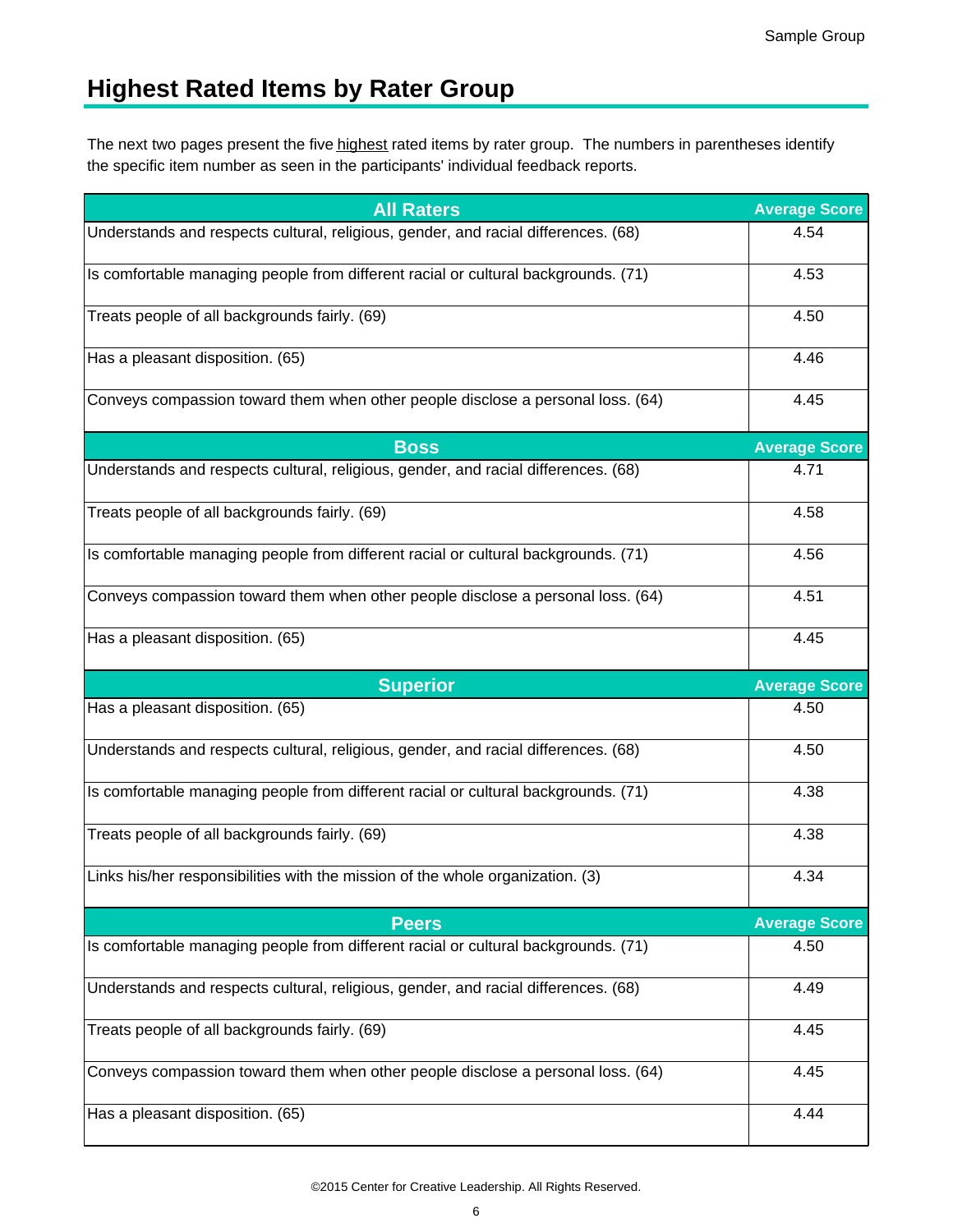# **Highest Rated Items by Rater Group**

The next two pages present the five <u>highest</u> rated items by rater group. The numbers in parentheses identify the specific item number as seen in the participants' individual feedback reports.

| <b>All Raters</b>                                                                  | <b>Average Score</b> |
|------------------------------------------------------------------------------------|----------------------|
| Understands and respects cultural, religious, gender, and racial differences. (68) | 4.54                 |
| Is comfortable managing people from different racial or cultural backgrounds. (71) | 4.53                 |
| Treats people of all backgrounds fairly. (69)                                      | 4.50                 |
| Has a pleasant disposition. (65)                                                   | 4.46                 |
| Conveys compassion toward them when other people disclose a personal loss. (64)    | 4.45                 |
| <b>Boss</b>                                                                        | <b>Average Score</b> |
| Understands and respects cultural, religious, gender, and racial differences. (68) | 4.71                 |
| Treats people of all backgrounds fairly. (69)                                      | 4.58                 |
| Is comfortable managing people from different racial or cultural backgrounds. (71) | 4.56                 |
| Conveys compassion toward them when other people disclose a personal loss. (64)    | 4.51                 |
| Has a pleasant disposition. (65)                                                   | 4.45                 |
|                                                                                    |                      |
| <b>Superior</b>                                                                    | <b>Average Score</b> |
| Has a pleasant disposition. (65)                                                   | 4.50                 |
| Understands and respects cultural, religious, gender, and racial differences. (68) | 4.50                 |
| Is comfortable managing people from different racial or cultural backgrounds. (71) | 4.38                 |
| Treats people of all backgrounds fairly. (69)                                      | 4.38                 |
| Links his/her responsibilities with the mission of the whole organization. (3)     | 4.34                 |
| <b>Peers</b>                                                                       | <b>Average Score</b> |
| Is comfortable managing people from different racial or cultural backgrounds. (71) | 4.50                 |
| Understands and respects cultural, religious, gender, and racial differences. (68) | 4.49                 |
| Treats people of all backgrounds fairly. (69)                                      | 4.45                 |
| Conveys compassion toward them when other people disclose a personal loss. (64)    | 4.45                 |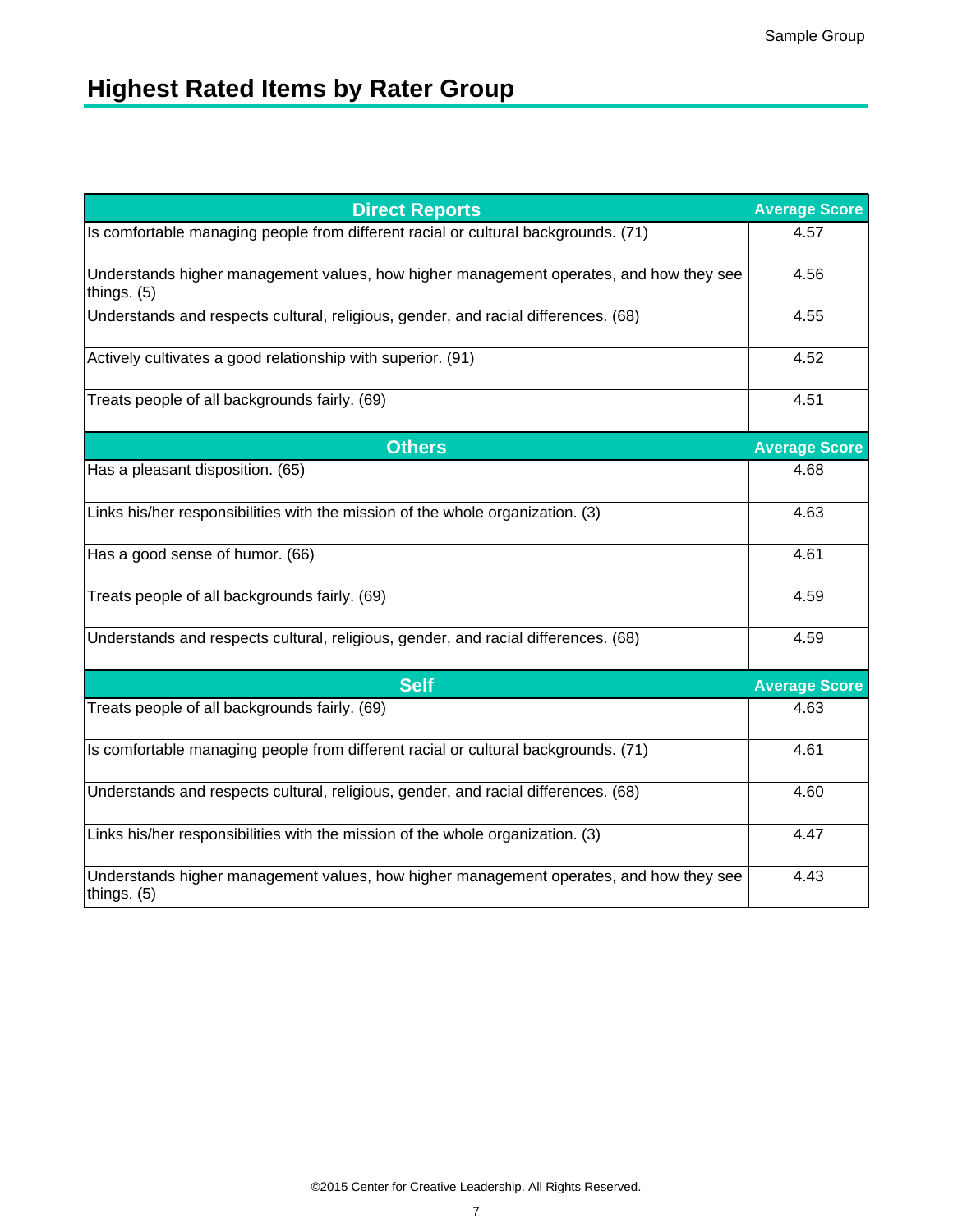# **Highest Rated Items by Rater Group**

| <b>Direct Reports</b>                                                                                 | <b>Average Score</b> |
|-------------------------------------------------------------------------------------------------------|----------------------|
| Is comfortable managing people from different racial or cultural backgrounds. (71)                    | 4.57                 |
| Understands higher management values, how higher management operates, and how they see<br>things. (5) | 4.56                 |
| Understands and respects cultural, religious, gender, and racial differences. (68)                    | 4.55                 |
| Actively cultivates a good relationship with superior. (91)                                           | 4.52                 |
| Treats people of all backgrounds fairly. (69)                                                         | 4.51                 |
| <b>Others</b>                                                                                         | <b>Average Score</b> |
| Has a pleasant disposition. (65)                                                                      | 4.68                 |
| Links his/her responsibilities with the mission of the whole organization. (3)                        | 4.63                 |
| Has a good sense of humor. (66)                                                                       | 4.61                 |
| Treats people of all backgrounds fairly. (69)                                                         | 4.59                 |
| Understands and respects cultural, religious, gender, and racial differences. (68)                    | 4.59                 |
| <b>Self</b>                                                                                           | <b>Average Score</b> |
| Treats people of all backgrounds fairly. (69)                                                         | 4.63                 |
| Is comfortable managing people from different racial or cultural backgrounds. (71)                    | 4.61                 |
| Understands and respects cultural, religious, gender, and racial differences. (68)                    | 4.60                 |
| Links his/her responsibilities with the mission of the whole organization. (3)                        | 4.47                 |
| Understands higher management values, how higher management operates, and how they see<br>things. (5) | 4.43                 |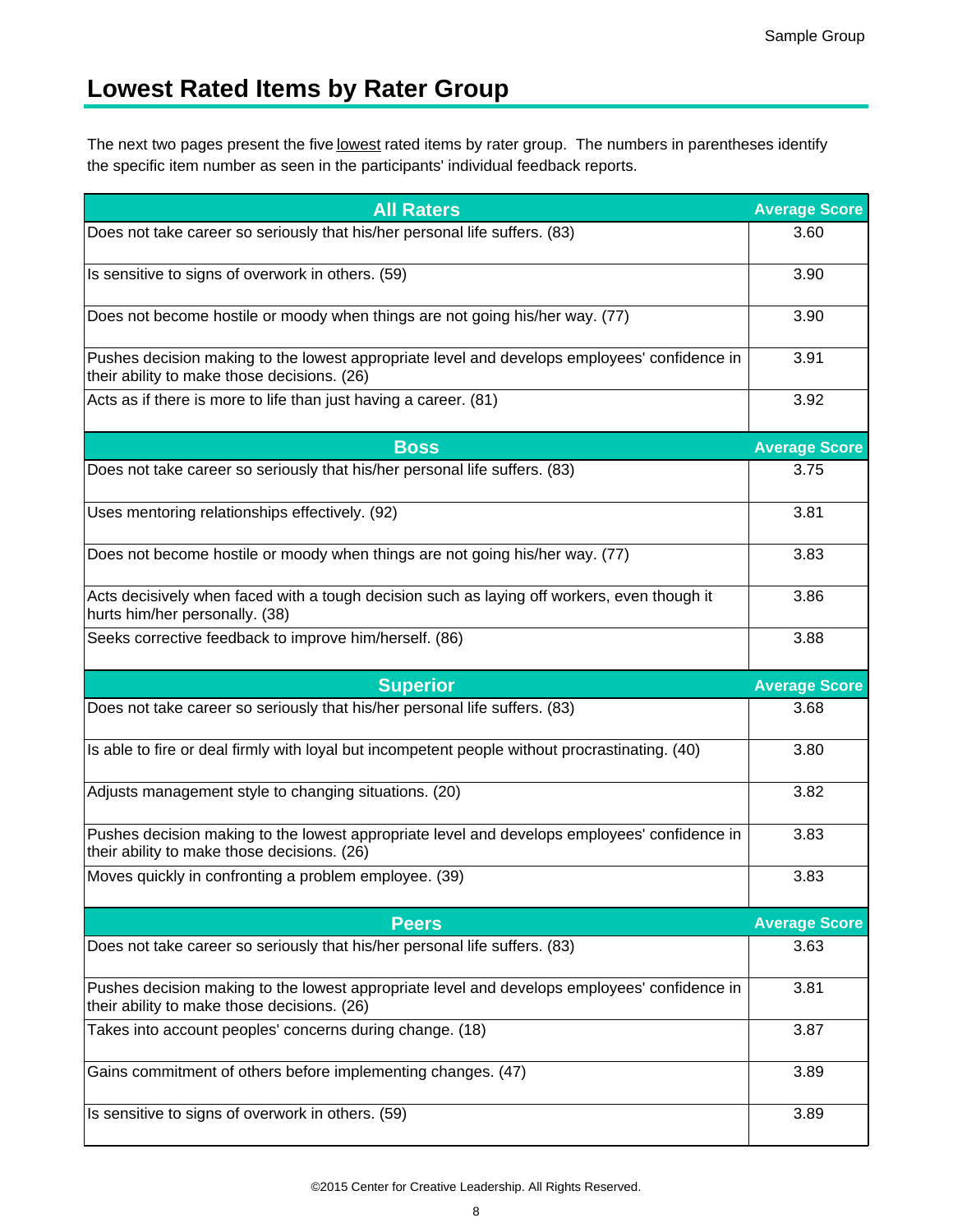# **Lowest Rated Items by Rater Group**

The next two pages present the five <u>lowest</u> rated items by rater group. The numbers in parentheses identify the specific item number as seen in the participants' individual feedback reports.

| <b>All Raters</b>                                                                                                                           | <b>Average Score</b> |
|---------------------------------------------------------------------------------------------------------------------------------------------|----------------------|
| Does not take career so seriously that his/her personal life suffers. (83)                                                                  | 3.60                 |
| Is sensitive to signs of overwork in others. (59)                                                                                           | 3.90                 |
| Does not become hostile or moody when things are not going his/her way. (77)                                                                | 3.90                 |
| Pushes decision making to the lowest appropriate level and develops employees' confidence in<br>their ability to make those decisions. (26) | 3.91                 |
| Acts as if there is more to life than just having a career. (81)                                                                            | 3.92                 |
| <b>Boss</b>                                                                                                                                 | <b>Average Score</b> |
| Does not take career so seriously that his/her personal life suffers. (83)                                                                  | 3.75                 |
| Uses mentoring relationships effectively. (92)                                                                                              | 3.81                 |
| Does not become hostile or moody when things are not going his/her way. (77)                                                                | 3.83                 |
| Acts decisively when faced with a tough decision such as laying off workers, even though it<br>hurts him/her personally. (38)               | 3.86                 |
| Seeks corrective feedback to improve him/herself. (86)                                                                                      | 3.88                 |
|                                                                                                                                             |                      |
| <b>Superior</b>                                                                                                                             | <b>Average Score</b> |
| Does not take career so seriously that his/her personal life suffers. (83)                                                                  | 3.68                 |
| Is able to fire or deal firmly with loyal but incompetent people without procrastinating. (40)                                              | 3.80                 |
| Adjusts management style to changing situations. (20)                                                                                       | 3.82                 |
| Pushes decision making to the lowest appropriate level and develops employees' confidence in<br>their ability to make those decisions. (26) | 3.83                 |
| Moves quickly in confronting a problem employee. (39)                                                                                       | 3.83                 |
| <b>Peers</b>                                                                                                                                | <b>Average Score</b> |
| Does not take career so seriously that his/her personal life suffers. (83)                                                                  | 3.63                 |
| Pushes decision making to the lowest appropriate level and develops employees' confidence in<br>their ability to make those decisions. (26) | 3.81                 |
| Takes into account peoples' concerns during change. (18)                                                                                    | 3.87                 |
| Gains commitment of others before implementing changes. (47)                                                                                | 3.89                 |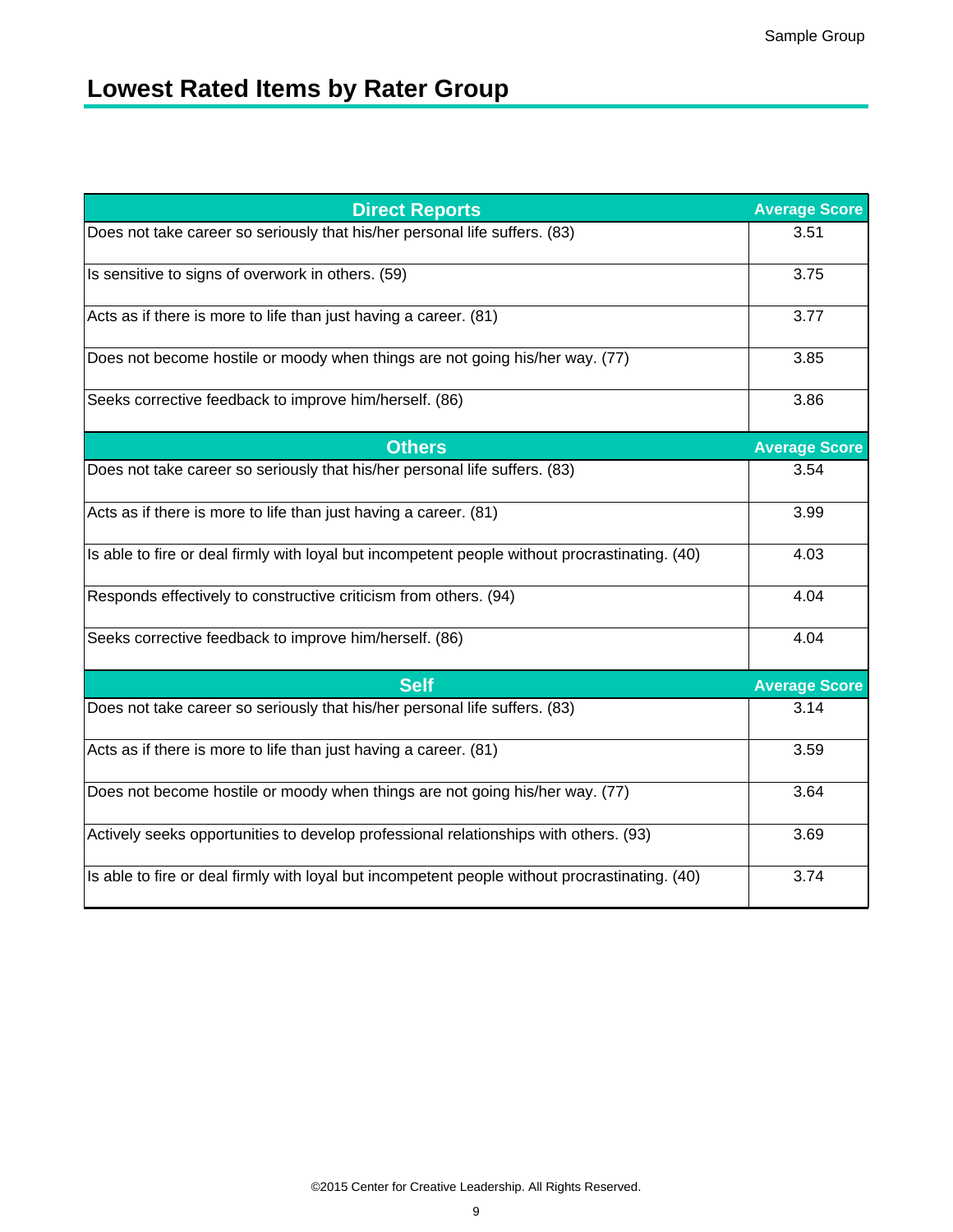# **Lowest Rated Items by Rater Group**

| <b>Direct Reports</b>                                                                          | <b>Average Score</b> |
|------------------------------------------------------------------------------------------------|----------------------|
| Does not take career so seriously that his/her personal life suffers. (83)                     | 3.51                 |
| Is sensitive to signs of overwork in others. (59)                                              | 3.75                 |
| Acts as if there is more to life than just having a career. (81)                               | 3.77                 |
| Does not become hostile or moody when things are not going his/her way. (77)                   | 3.85                 |
| Seeks corrective feedback to improve him/herself. (86)                                         | 3.86                 |
| <b>Others</b>                                                                                  | <b>Average Score</b> |
| Does not take career so seriously that his/her personal life suffers. (83)                     | 3.54                 |
| Acts as if there is more to life than just having a career. (81)                               | 3.99                 |
| Is able to fire or deal firmly with loyal but incompetent people without procrastinating. (40) | 4.03                 |
| Responds effectively to constructive criticism from others. (94)                               | 4.04                 |
| Seeks corrective feedback to improve him/herself. (86)                                         | 4.04                 |
| <b>Self</b>                                                                                    | <b>Average Score</b> |
| Does not take career so seriously that his/her personal life suffers. (83)                     | 3.14                 |
| Acts as if there is more to life than just having a career. (81)                               | 3.59                 |
| Does not become hostile or moody when things are not going his/her way. (77)                   | 3.64                 |
| Actively seeks opportunities to develop professional relationships with others. (93)           | 3.69                 |
| Is able to fire or deal firmly with loyal but incompetent people without procrastinating. (40) | 3.74                 |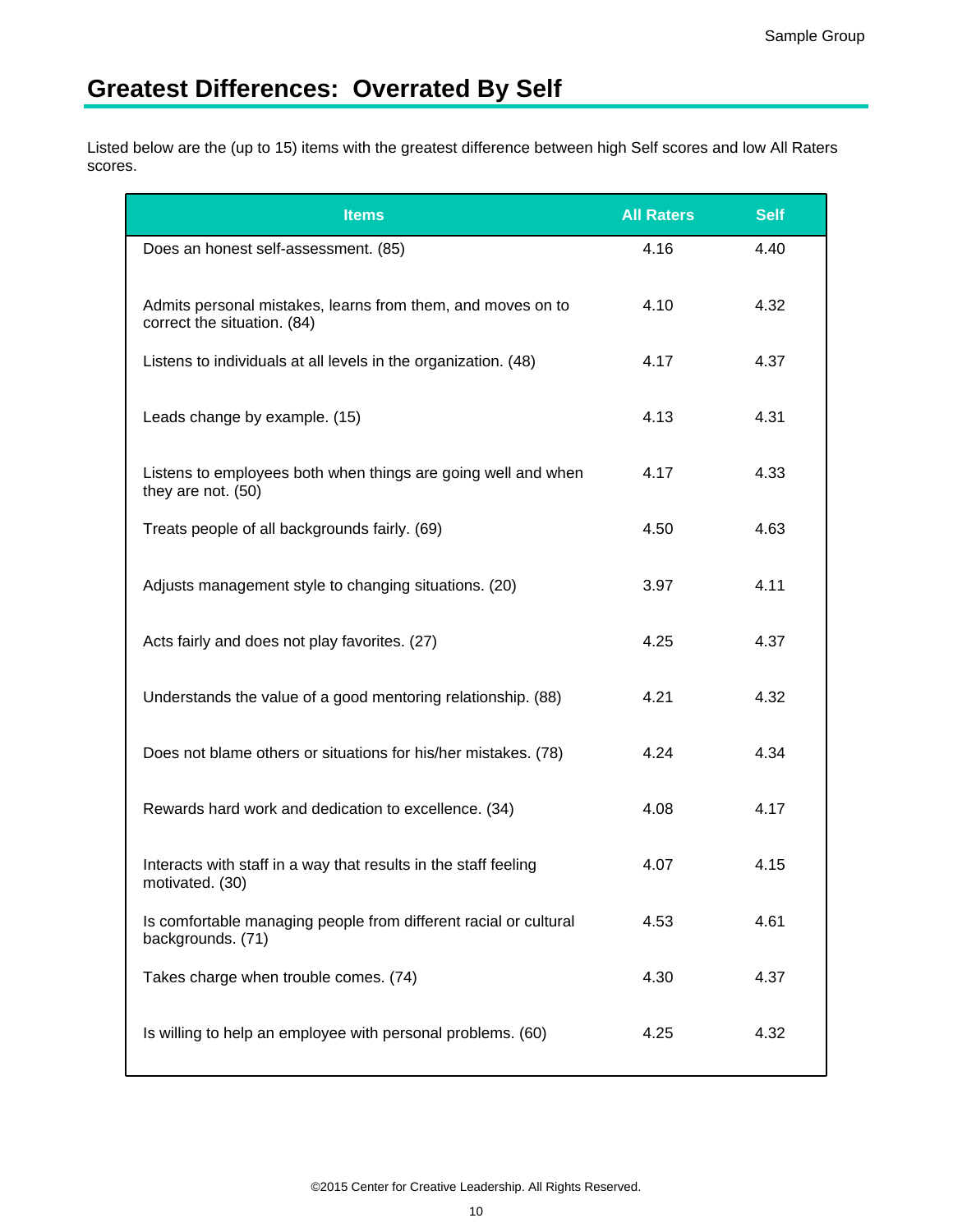# **Greatest Differences: Overrated By Self**

Listed below are the (up to 15) items with the greatest difference between high Self scores and low All Raters scores.

| <b>Items</b>                                                                               | <b>All Raters</b> | <b>Self</b> |
|--------------------------------------------------------------------------------------------|-------------------|-------------|
| Does an honest self-assessment. (85)                                                       | 4.16              | 4.40        |
| Admits personal mistakes, learns from them, and moves on to<br>correct the situation. (84) | 4.10              | 4.32        |
| Listens to individuals at all levels in the organization. (48)                             | 4.17              | 4.37        |
| Leads change by example. (15)                                                              | 4.13              | 4.31        |
| Listens to employees both when things are going well and when<br>they are not. (50)        | 4.17              | 4.33        |
| Treats people of all backgrounds fairly. (69)                                              | 4.50              | 4.63        |
| Adjusts management style to changing situations. (20)                                      | 3.97              | 4.11        |
| Acts fairly and does not play favorites. (27)                                              | 4.25              | 4.37        |
| Understands the value of a good mentoring relationship. (88)                               | 4.21              | 4.32        |
| Does not blame others or situations for his/her mistakes. (78)                             | 4.24              | 4.34        |
| Rewards hard work and dedication to excellence. (34)                                       | 4.08              | 4.17        |
| Interacts with staff in a way that results in the staff feeling<br>motivated. (30)         | 4.07              | 4.15        |
| Is comfortable managing people from different racial or cultural<br>backgrounds. (71)      | 4.53              | 4.61        |
| Takes charge when trouble comes. (74)                                                      | 4.30              | 4.37        |
| Is willing to help an employee with personal problems. (60)                                | 4.25              | 4.32        |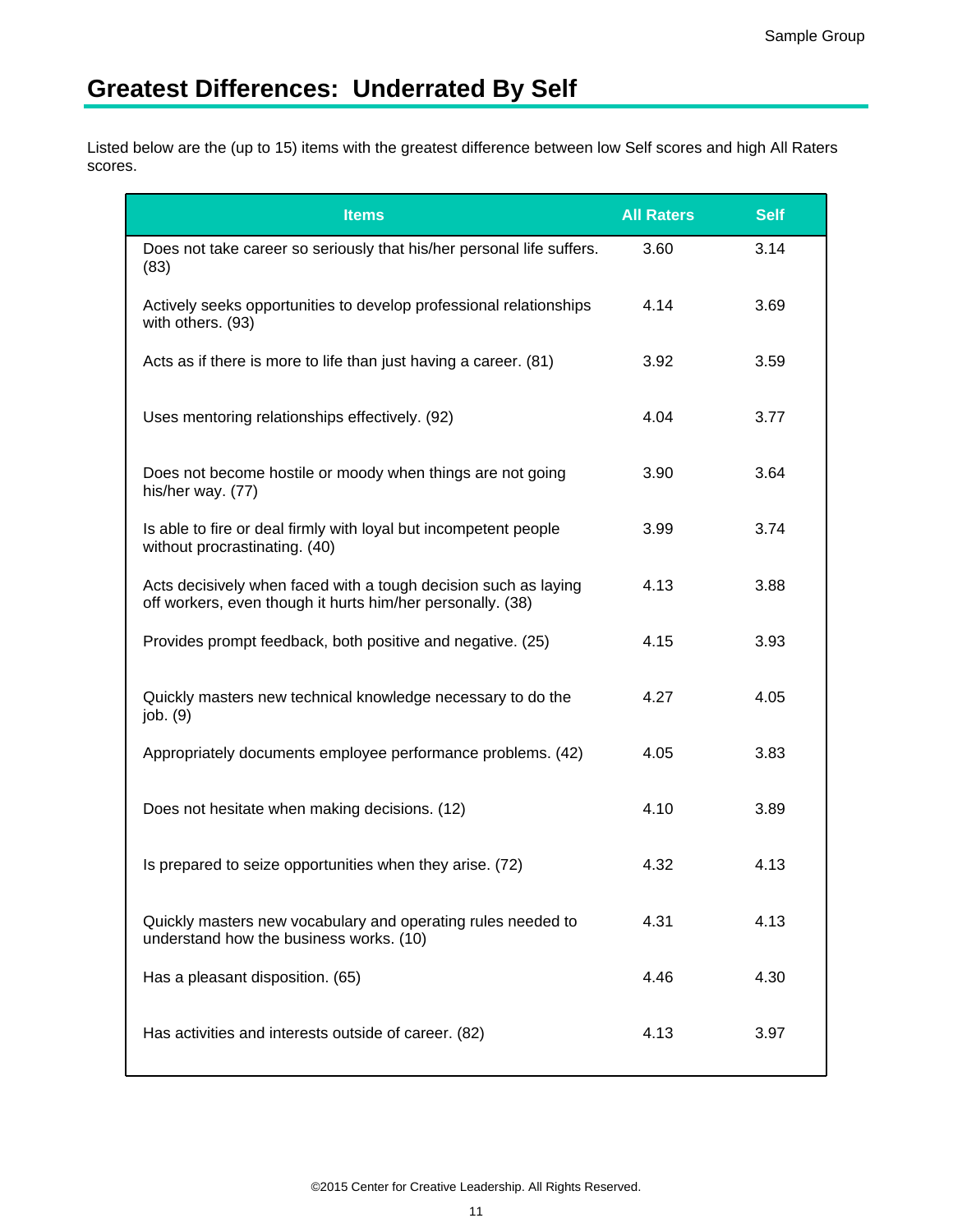# **Greatest Differences: Underrated By Self**

Listed below are the (up to 15) items with the greatest difference between low Self scores and high All Raters scores.

| <b>Items</b>                                                                                                                  | <b>All Raters</b> | <b>Self</b> |
|-------------------------------------------------------------------------------------------------------------------------------|-------------------|-------------|
| Does not take career so seriously that his/her personal life suffers.<br>(83)                                                 | 3.60              | 3.14        |
| Actively seeks opportunities to develop professional relationships<br>with others. (93)                                       | 4.14              | 3.69        |
| Acts as if there is more to life than just having a career. (81)                                                              | 3.92              | 3.59        |
| Uses mentoring relationships effectively. (92)                                                                                | 4.04              | 3.77        |
| Does not become hostile or moody when things are not going<br>his/her way. (77)                                               | 3.90              | 3.64        |
| Is able to fire or deal firmly with loyal but incompetent people<br>without procrastinating. (40)                             | 3.99              | 3.74        |
| Acts decisively when faced with a tough decision such as laying<br>off workers, even though it hurts him/her personally. (38) | 4.13              | 3.88        |
| Provides prompt feedback, both positive and negative. (25)                                                                    | 4.15              | 3.93        |
| Quickly masters new technical knowledge necessary to do the<br>job. (9)                                                       | 4.27              | 4.05        |
| Appropriately documents employee performance problems. (42)                                                                   | 4.05              | 3.83        |
| Does not hesitate when making decisions. (12)                                                                                 | 4.10              | 3.89        |
| Is prepared to seize opportunities when they arise. (72)                                                                      | 4.32              | 4.13        |
| Quickly masters new vocabulary and operating rules needed to<br>understand how the business works. (10)                       | 4.31              | 4.13        |
| Has a pleasant disposition. (65)                                                                                              | 4.46              | 4.30        |
| Has activities and interests outside of career. (82)                                                                          | 4.13              | 3.97        |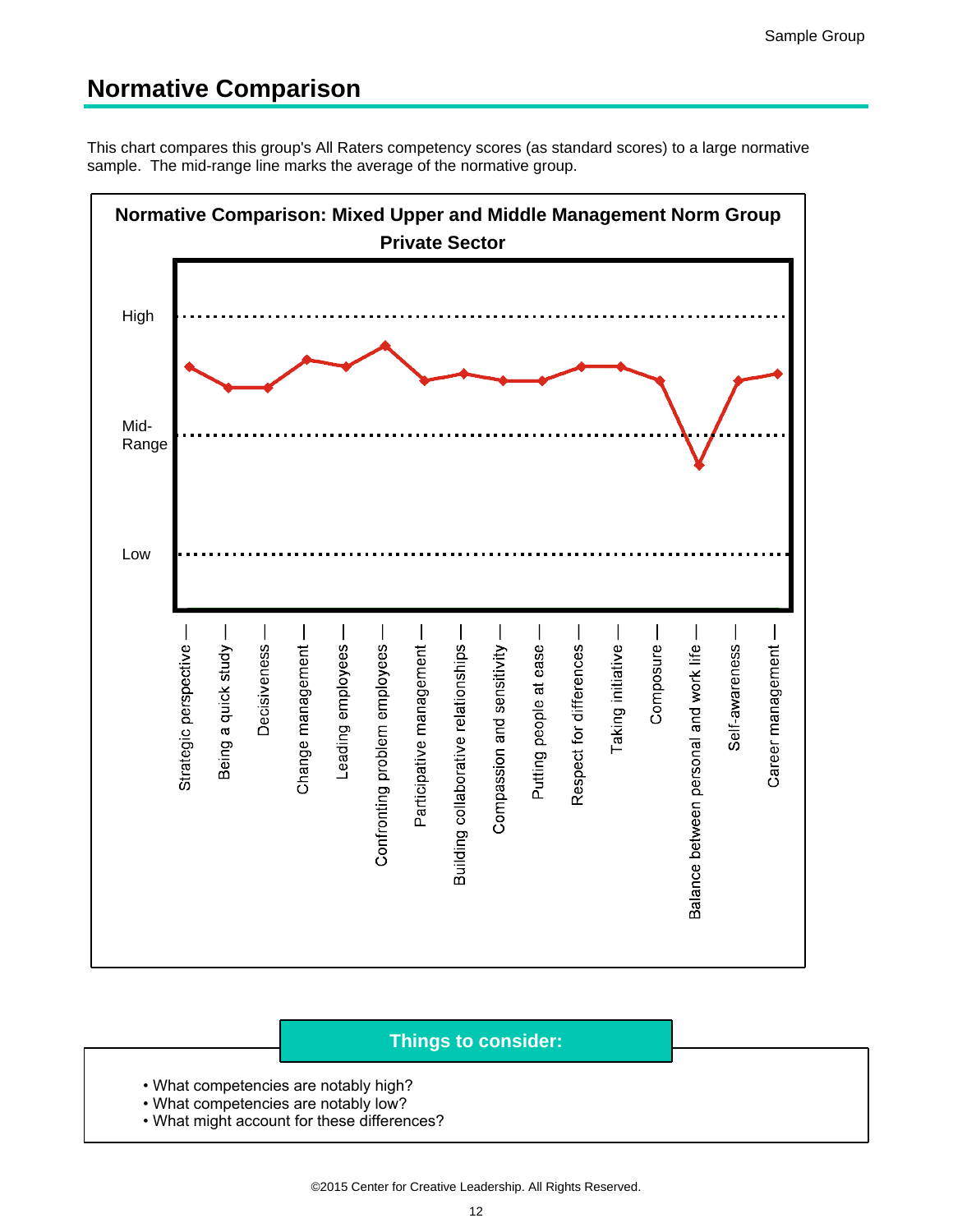## **Normative Comparison**

This chart compares this group's All Raters competency scores (as standard scores) to a large normative sample. The mid-range line marks the average of the normative group.



- What competencies are notably high?
- What competencies are notably low?
- . What might account for these differences?